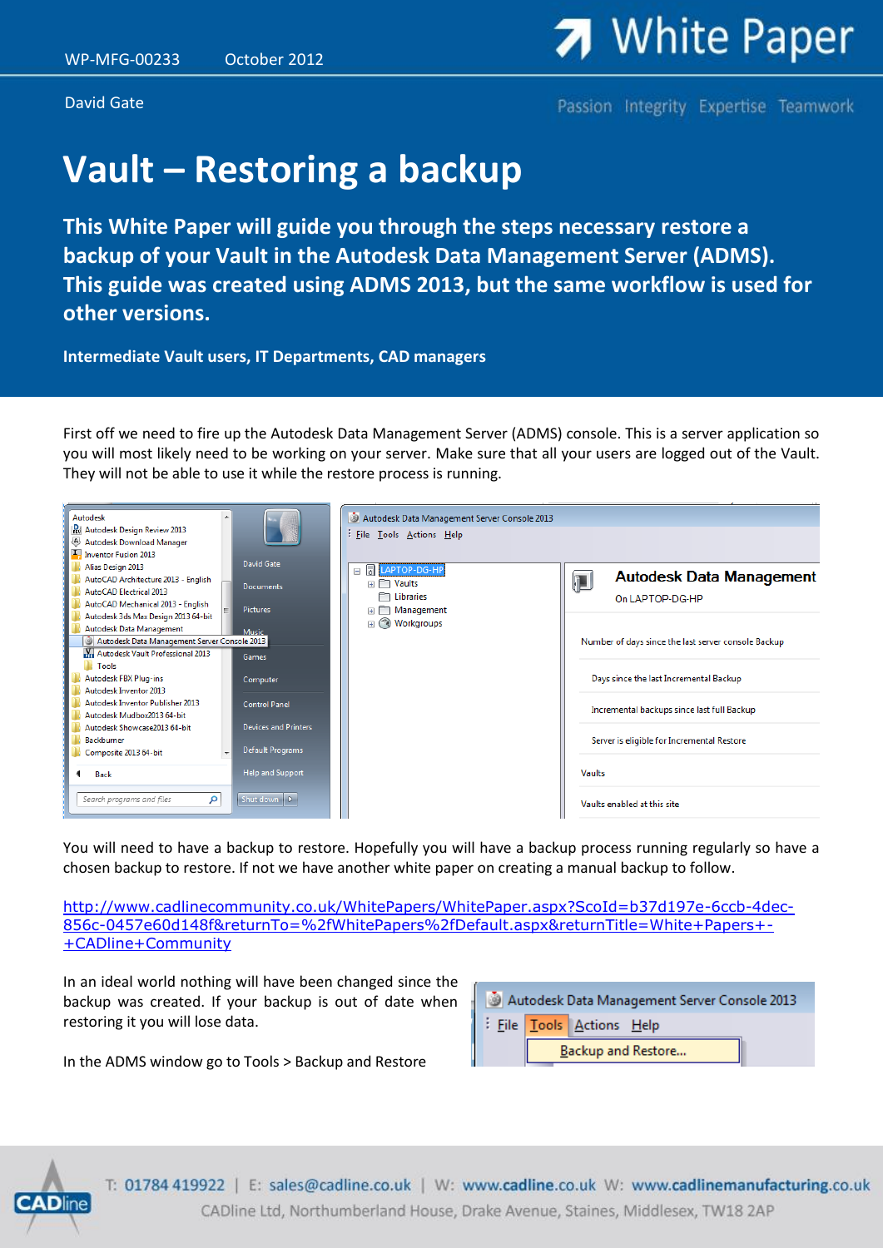David Gate

Passion Integrity Expertise Teamwork

## **Vault – Restoring a backup**

**This White Paper will guide you through the steps necessary restore a backup of your Vault in the Autodesk Data Management Server (ADMS). This guide was created using ADMS 2013, but the same workflow is used for other versions.**

**Intermediate Vault users, IT Departments, CAD managers**

First off we need to fire up the Autodesk Data Management Server (ADMS) console. This is a server application so you will most likely need to be working on your server. Make sure that all your users are logged out of the Vault. They will not be able to use it while the restore process is running.



You will need to have a backup to restore. Hopefully you will have a backup process running regularly so have a chosen backup to restore. If not we have another white paper on creating a manual backup to follow.

[http://www.cadlinecommunity.co.uk/WhitePapers/WhitePaper.aspx?ScoId=b37d197e-6ccb-4dec-](http://www.cadlinecommunity.co.uk/WhitePapers/WhitePaper.aspx?ScoId=b37d197e-6ccb-4dec-856c-0457e60d148f&returnTo=%2fWhitePapers%2fDefault.aspx&returnTitle=White+Papers+-+CADline+Community)[856c-0457e60d148f&returnTo=%2fWhitePapers%2fDefault.aspx&returnTitle=White+Papers+-](http://www.cadlinecommunity.co.uk/WhitePapers/WhitePaper.aspx?ScoId=b37d197e-6ccb-4dec-856c-0457e60d148f&returnTo=%2fWhitePapers%2fDefault.aspx&returnTitle=White+Papers+-+CADline+Community) [+CADline+Community](http://www.cadlinecommunity.co.uk/WhitePapers/WhitePaper.aspx?ScoId=b37d197e-6ccb-4dec-856c-0457e60d148f&returnTo=%2fWhitePapers%2fDefault.aspx&returnTitle=White+Papers+-+CADline+Community)

In an ideal world nothing will have been changed since the backup was created. If your backup is out of date when restoring it you will lose data.



In the ADMS window go to Tools > Backup and Restore



T: 01784 419922 | E: sales@cadline.co.uk | W: www.cadline.co.uk W: www.cadlinemanufacturing.co.uk CADline Ltd, Northumberland House, Drake Avenue, Staines, Middlesex, TW18 2AP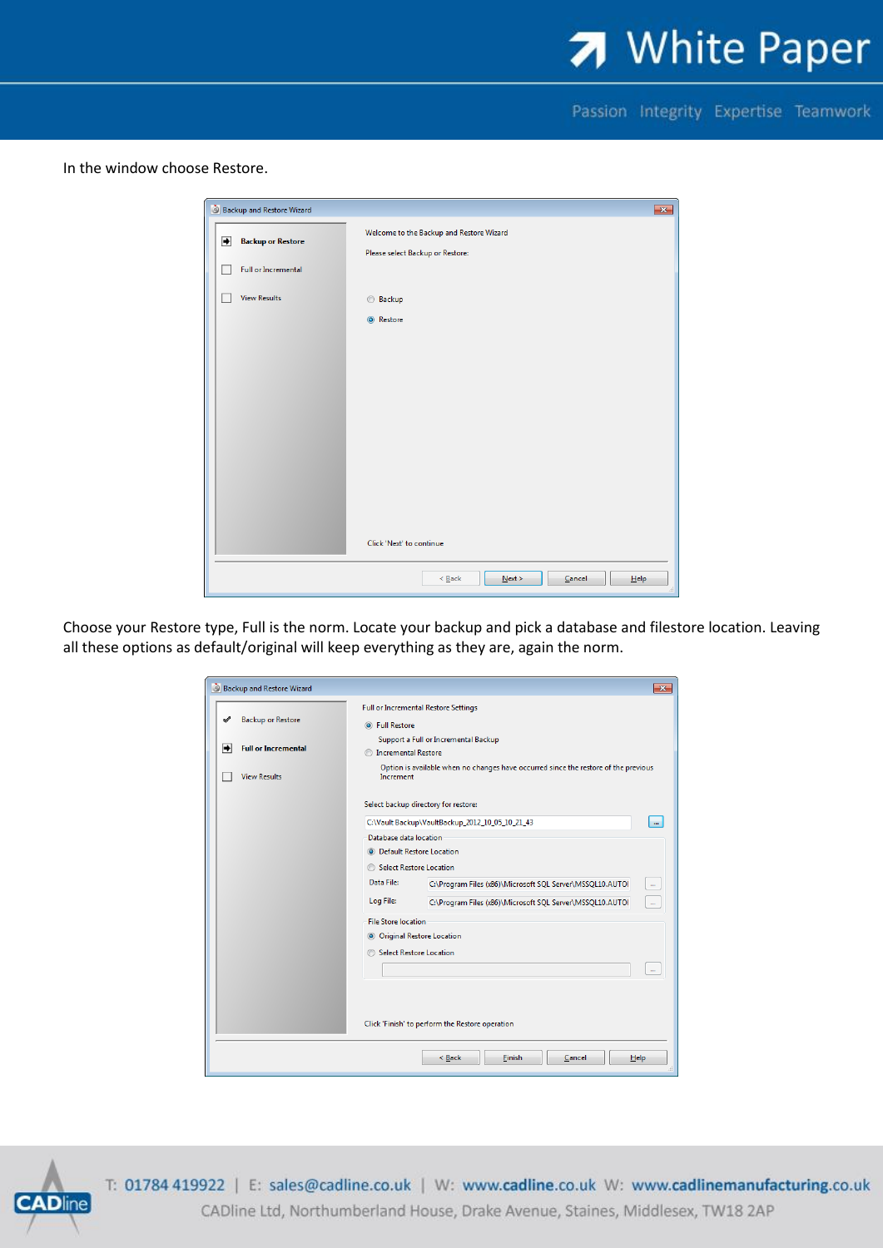

Passion Integrity Expertise Teamwork

In the window choose Restore.

|               | Backup and Restore Wizard  |                                          | $\mathbf{x}$ |
|---------------|----------------------------|------------------------------------------|--------------|
| $\rightarrow$ | <b>Backup or Restore</b>   | Welcome to the Backup and Restore Wizard |              |
|               |                            | Please select Backup or Restore:         |              |
|               | <b>Full or Incremental</b> |                                          |              |
|               | <b>View Results</b>        | <b>Backup</b>                            |              |
|               |                            | ◎ Restore                                |              |
|               |                            |                                          |              |
|               |                            |                                          |              |
|               |                            |                                          |              |
|               |                            |                                          |              |
|               |                            |                                          |              |
|               |                            |                                          |              |
|               |                            |                                          |              |
|               |                            |                                          |              |
|               |                            | Click 'Next' to continue                 |              |
|               |                            |                                          |              |
|               |                            | Next<br>Cancel<br>$\leq$ Back<br>Help    |              |

Choose your Restore type, Full is the norm. Locate your backup and pick a database and filestore location. Leaving all these options as default/original will keep everything as they are, again the norm.

| Backup and Restore Wizard                       |                                                                                                  | $\mathbf{x}$                                                              |  |  |  |  |  |  |
|-------------------------------------------------|--------------------------------------------------------------------------------------------------|---------------------------------------------------------------------------|--|--|--|--|--|--|
|                                                 | <b>Full or Incremental Restore Settings</b>                                                      |                                                                           |  |  |  |  |  |  |
| <b>Backup or Restore</b>                        | <b>O</b> Full Restore                                                                            |                                                                           |  |  |  |  |  |  |
| <b>Full or Incremental</b><br>➡                 | Support a Full or Incremental Backup                                                             |                                                                           |  |  |  |  |  |  |
|                                                 | <b>Incremental Restore</b>                                                                       |                                                                           |  |  |  |  |  |  |
| <b>View Results</b>                             | Option is available when no changes have occurred since the restore of the previous<br>Increment |                                                                           |  |  |  |  |  |  |
|                                                 |                                                                                                  | Select backup directory for restore:                                      |  |  |  |  |  |  |
|                                                 | C:\Vault Backup\VaultBackup_2012_10_05_10_21_43<br>$\cdots$                                      |                                                                           |  |  |  |  |  |  |
|                                                 | Database data location                                                                           |                                                                           |  |  |  |  |  |  |
|                                                 | <sup>O</sup> Default Restore Location                                                            |                                                                           |  |  |  |  |  |  |
|                                                 | Select Restore Location                                                                          |                                                                           |  |  |  |  |  |  |
|                                                 | Data File:<br>C:\Program Files (x86)\Microsoft SQL Server\MSSQL10.AUTOI<br>$\cdots$              |                                                                           |  |  |  |  |  |  |
|                                                 | Log File:                                                                                        | C:\Program Files (x86)\Microsoft SQL Server\MSSQL10.AUTOI<br>$\mathbf{m}$ |  |  |  |  |  |  |
|                                                 | <b>File Store location</b>                                                                       |                                                                           |  |  |  |  |  |  |
|                                                 | O Original Restore Location                                                                      |                                                                           |  |  |  |  |  |  |
|                                                 | Select Restore Location                                                                          |                                                                           |  |  |  |  |  |  |
|                                                 |                                                                                                  | $\sim$                                                                    |  |  |  |  |  |  |
|                                                 |                                                                                                  |                                                                           |  |  |  |  |  |  |
|                                                 |                                                                                                  |                                                                           |  |  |  |  |  |  |
|                                                 |                                                                                                  |                                                                           |  |  |  |  |  |  |
| Click 'Finish' to perform the Restore operation |                                                                                                  |                                                                           |  |  |  |  |  |  |
|                                                 |                                                                                                  |                                                                           |  |  |  |  |  |  |
|                                                 |                                                                                                  | Finish<br>< Back<br>Cancel<br>Help                                        |  |  |  |  |  |  |
|                                                 |                                                                                                  |                                                                           |  |  |  |  |  |  |



T: 01784 419922 | E: sales@cadline.co.uk | W: www.cadline.co.uk W: www.cadlinemanufacturing.co.uk CADline Ltd, Northumberland House, Drake Avenue, Staines, Middlesex, TW18 2AP